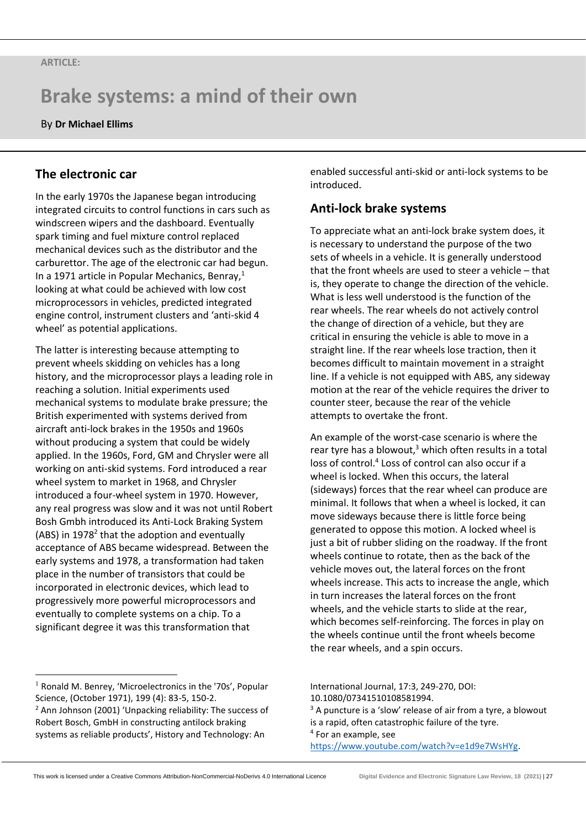# **Brake systems: a mind of their own**

By **Dr Michael Ellims**

# **The electronic car**

In the early 1970s the Japanese began introducing integrated circuits to control functions in cars such as windscreen wipers and the dashboard. Eventually spark timing and fuel mixture control replaced mechanical devices such as the distributor and the carburettor. The age of the electronic car had begun. In a 1971 article in Popular Mechanics, Benray, $1$ looking at what could be achieved with low cost microprocessors in vehicles, predicted integrated engine control, instrument clusters and 'anti-skid 4 wheel' as potential applications.

The latter is interesting because attempting to prevent wheels skidding on vehicles has a long history, and the microprocessor plays a leading role in reaching a solution. Initial experiments used mechanical systems to modulate brake pressure; the British experimented with systems derived from aircraft anti-lock brakes in the 1950s and 1960s without producing a system that could be widely applied. In the 1960s, Ford, GM and Chrysler were all working on anti-skid systems. Ford introduced a rear wheel system to market in 1968, and Chrysler introduced a four-wheel system in 1970. However, any real progress was slow and it was not until Robert Bosh Gmbh introduced its Anti-Lock Braking System (ABS) in  $1978<sup>2</sup>$  that the adoption and eventually acceptance of ABS became widespread. Between the early systems and 1978, a transformation had taken place in the number of transistors that could be incorporated in electronic devices, which lead to progressively more powerful microprocessors and eventually to complete systems on a chip. To a significant degree it was this transformation that

 $<sup>1</sup>$  Ronald M. Benrey, 'Microelectronics in the '70s', Popular</sup> Science, (October 1971), 199 (4): 83-5, 150-2.

enabled successful anti-skid or anti-lock systems to be introduced.

## **Anti-lock brake systems**

To appreciate what an anti-lock brake system does, it is necessary to understand the purpose of the two sets of wheels in a vehicle. It is generally understood that the front wheels are used to steer a vehicle – that is, they operate to change the direction of the vehicle. What is less well understood is the function of the rear wheels. The rear wheels do not actively control the change of direction of a vehicle, but they are critical in ensuring the vehicle is able to move in a straight line. If the rear wheels lose traction, then it becomes difficult to maintain movement in a straight line. If a vehicle is not equipped with ABS, any sideway motion at the rear of the vehicle requires the driver to counter steer, because the rear of the vehicle attempts to overtake the front.

An example of the worst-case scenario is where the rear tyre has a blowout.<sup>3</sup> which often results in a total loss of control.<sup>4</sup> Loss of control can also occur if a wheel is locked. When this occurs, the lateral (sideways) forces that the rear wheel can produce are minimal. It follows that when a wheel is locked, it can move sideways because there is little force being generated to oppose this motion. A locked wheel is just a bit of rubber sliding on the roadway. If the front wheels continue to rotate, then as the back of the vehicle moves out, the lateral forces on the front wheels increase. This acts to increase the angle, which in turn increases the lateral forces on the front wheels, and the vehicle starts to slide at the rear, which becomes self-reinforcing. The forces in play on the wheels continue until the front wheels become the rear wheels, and a spin occurs.

International Journal, 17:3, 249-270, DOI: 10.1080/07341510108581994.

 $3$  A puncture is a 'slow' release of air from a tyre, a blowout is a rapid, often catastrophic failure of the tyre. 4 For an example, see [https://www.youtube.com/watch?v=e1d9e7WsHYg.](https://www.youtube.com/watch?v=e1d9e7WsHYg)

<sup>2</sup> Ann Johnson (2001) 'Unpacking reliability: The success of Robert Bosch, GmbH in constructing antilock braking systems as reliable products', History and Technology: An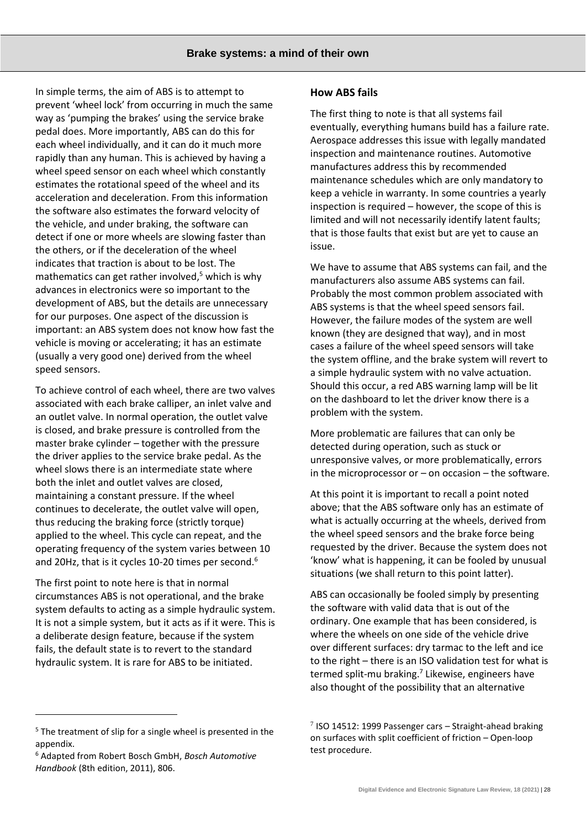In simple terms, the aim of ABS is to attempt to prevent 'wheel lock' from occurring in much the same way as 'pumping the brakes' using the service brake pedal does. More importantly, ABS can do this for each wheel individually, and it can do it much more rapidly than any human. This is achieved by having a wheel speed sensor on each wheel which constantly estimates the rotational speed of the wheel and its acceleration and deceleration. From this information the software also estimates the forward velocity of the vehicle, and under braking, the software can detect if one or more wheels are slowing faster than the others, or if the deceleration of the wheel indicates that traction is about to be lost. The mathematics can get rather involved, $5$  which is why advances in electronics were so important to the development of ABS, but the details are unnecessary for our purposes. One aspect of the discussion is important: an ABS system does not know how fast the vehicle is moving or accelerating; it has an estimate (usually a very good one) derived from the wheel speed sensors.

To achieve control of each wheel, there are two valves associated with each brake calliper, an inlet valve and an outlet valve. In normal operation, the outlet valve is closed, and brake pressure is controlled from the master brake cylinder – together with the pressure the driver applies to the service brake pedal. As the wheel slows there is an intermediate state where both the inlet and outlet valves are closed, maintaining a constant pressure. If the wheel continues to decelerate, the outlet valve will open, thus reducing the braking force (strictly torque) applied to the wheel. This cycle can repeat, and the operating frequency of the system varies between 10 and 20Hz, that is it cycles 10-20 times per second.<sup>6</sup>

The first point to note here is that in normal circumstances ABS is not operational, and the brake system defaults to acting as a simple hydraulic system. It is not a simple system, but it acts as if it were. This is a deliberate design feature, because if the system fails, the default state is to revert to the standard hydraulic system. It is rare for ABS to be initiated.

#### **How ABS fails**

The first thing to note is that all systems fail eventually, everything humans build has a failure rate. Aerospace addresses this issue with legally mandated inspection and maintenance routines. Automotive manufactures address this by recommended maintenance schedules which are only mandatory to keep a vehicle in warranty. In some countries a yearly inspection is required – however, the scope of this is limited and will not necessarily identify latent faults; that is those faults that exist but are yet to cause an issue.

We have to assume that ABS systems can fail, and the manufacturers also assume ABS systems can fail. Probably the most common problem associated with ABS systems is that the wheel speed sensors fail. However, the failure modes of the system are well known (they are designed that way), and in most cases a failure of the wheel speed sensors will take the system offline, and the brake system will revert to a simple hydraulic system with no valve actuation. Should this occur, a red ABS warning lamp will be lit on the dashboard to let the driver know there is a problem with the system.

More problematic are failures that can only be detected during operation, such as stuck or unresponsive valves, or more problematically, errors in the microprocessor or  $-$  on occasion  $-$  the software.

At this point it is important to recall a point noted above; that the ABS software only has an estimate of what is actually occurring at the wheels, derived from the wheel speed sensors and the brake force being requested by the driver. Because the system does not 'know' what is happening, it can be fooled by unusual situations (we shall return to this point latter).

ABS can occasionally be fooled simply by presenting the software with valid data that is out of the ordinary. One example that has been considered, is where the wheels on one side of the vehicle drive over different surfaces: dry tarmac to the left and ice to the right – there is an ISO validation test for what is termed split-mu braking.<sup>7</sup> Likewise, engineers have also thought of the possibility that an alternative

<sup>&</sup>lt;sup>5</sup> The treatment of slip for a single wheel is presented in the appendix.

<sup>6</sup> Adapted from Robert Bosch GmbH, *Bosch Automotive Handbook* (8th edition, 2011), 806.

 $7$  ISO 14512: 1999 Passenger cars - Straight-ahead braking on surfaces with split coefficient of friction – Open-loop test procedure.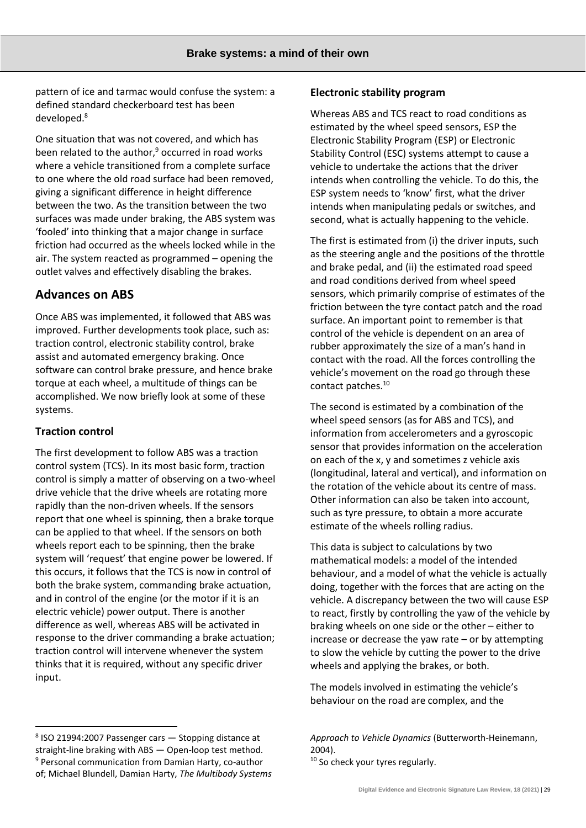pattern of ice and tarmac would confuse the system: a defined standard checkerboard test has been developed.<sup>8</sup>

One situation that was not covered, and which has been related to the author, $9$  occurred in road works where a vehicle transitioned from a complete surface to one where the old road surface had been removed, giving a significant difference in height difference between the two. As the transition between the two surfaces was made under braking, the ABS system was 'fooled' into thinking that a major change in surface friction had occurred as the wheels locked while in the air. The system reacted as programmed – opening the outlet valves and effectively disabling the brakes.

## **Advances on ABS**

Once ABS was implemented, it followed that ABS was improved. Further developments took place, such as: traction control, electronic stability control, brake assist and automated emergency braking. Once software can control brake pressure, and hence brake torque at each wheel, a multitude of things can be accomplished. We now briefly look at some of these systems.

## **Traction control**

The first development to follow ABS was a traction control system (TCS). In its most basic form, traction control is simply a matter of observing on a two-wheel drive vehicle that the drive wheels are rotating more rapidly than the non-driven wheels. If the sensors report that one wheel is spinning, then a brake torque can be applied to that wheel. If the sensors on both wheels report each to be spinning, then the brake system will 'request' that engine power be lowered. If this occurs, it follows that the TCS is now in control of both the brake system, commanding brake actuation, and in control of the engine (or the motor if it is an electric vehicle) power output. There is another difference as well, whereas ABS will be activated in response to the driver commanding a brake actuation; traction control will intervene whenever the system thinks that it is required, without any specific driver input.

Whereas ABS and TCS react to road conditions as estimated by the wheel speed sensors, ESP the Electronic Stability Program (ESP) or Electronic Stability Control (ESC) systems attempt to cause a vehicle to undertake the actions that the driver intends when controlling the vehicle. To do this, the ESP system needs to 'know' first, what the driver intends when manipulating pedals or switches, and second, what is actually happening to the vehicle.

The first is estimated from (i) the driver inputs, such as the steering angle and the positions of the throttle and brake pedal, and (ii) the estimated road speed and road conditions derived from wheel speed sensors, which primarily comprise of estimates of the friction between the tyre contact patch and the road surface. An important point to remember is that control of the vehicle is dependent on an area of rubber approximately the size of a man's hand in contact with the road. All the forces controlling the vehicle's movement on the road go through these contact patches.<sup>10</sup>

The second is estimated by a combination of the wheel speed sensors (as for ABS and TCS), and information from accelerometers and a gyroscopic sensor that provides information on the acceleration on each of the x, y and sometimes z vehicle axis (longitudinal, lateral and vertical), and information on the rotation of the vehicle about its centre of mass. Other information can also be taken into account, such as tyre pressure, to obtain a more accurate estimate of the wheels rolling radius.

This data is subject to calculations by two mathematical models: a model of the intended behaviour, and a model of what the vehicle is actually doing, together with the forces that are acting on the vehicle. A discrepancy between the two will cause ESP to react, firstly by controlling the yaw of the vehicle by braking wheels on one side or the other – either to increase or decrease the yaw rate – or by attempting to slow the vehicle by cutting the power to the drive wheels and applying the brakes, or both.

The models involved in estimating the vehicle's behaviour on the road are complex, and the

<sup>10</sup> So check your tyres regularly.

**Electronic stability program**

<sup>8</sup> ISO 21994:2007 Passenger cars — Stopping distance at straight-line braking with ABS — Open-loop test method. <sup>9</sup> Personal communication from Damian Harty, co-author of; Michael Blundell, Damian Harty, *The Multibody Systems* 

*Approach to Vehicle Dynamics* (Butterworth-Heinemann, 2004).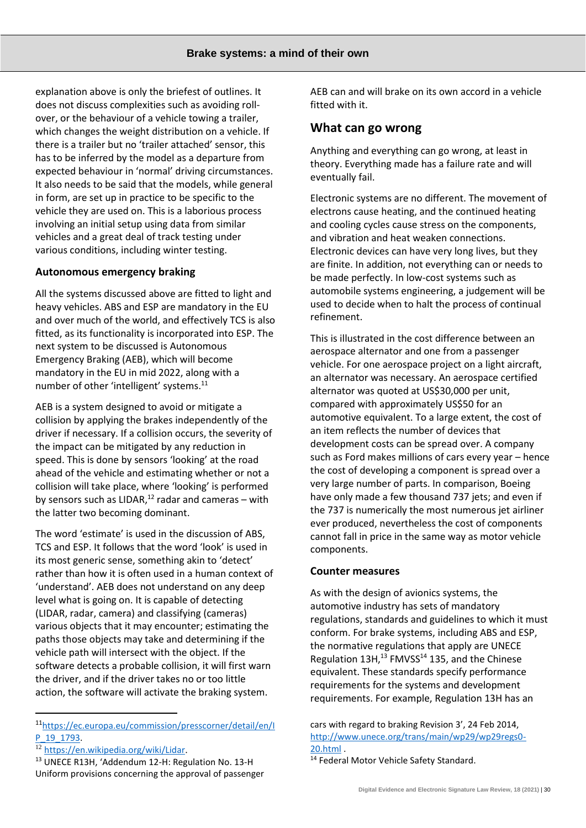explanation above is only the briefest of outlines. It does not discuss complexities such as avoiding rollover, or the behaviour of a vehicle towing a trailer, which changes the weight distribution on a vehicle. If there is a trailer but no 'trailer attached' sensor, this has to be inferred by the model as a departure from expected behaviour in 'normal' driving circumstances. It also needs to be said that the models, while general in form, are set up in practice to be specific to the vehicle they are used on. This is a laborious process involving an initial setup using data from similar vehicles and a great deal of track testing under various conditions, including winter testing.

### **Autonomous emergency braking**

All the systems discussed above are fitted to light and heavy vehicles. ABS and ESP are mandatory in the EU and over much of the world, and effectively TCS is also fitted, as its functionality is incorporated into ESP. The next system to be discussed is Autonomous Emergency Braking (AEB), which will become mandatory in the EU in mid 2022, along with a number of other 'intelligent' systems.<sup>11</sup>

AEB is a system designed to avoid or mitigate a collision by applying the brakes independently of the driver if necessary. If a collision occurs, the severity of the impact can be mitigated by any reduction in speed. This is done by sensors 'looking' at the road ahead of the vehicle and estimating whether or not a collision will take place, where 'looking' is performed by sensors such as LIDAR, $12$  radar and cameras – with the latter two becoming dominant.

The word 'estimate' is used in the discussion of ABS, TCS and ESP. It follows that the word 'look' is used in its most generic sense, something akin to 'detect' rather than how it is often used in a human context of 'understand'. AEB does not understand on any deep level what is going on. It is capable of detecting (LIDAR, radar, camera) and classifying (cameras) various objects that it may encounter; estimating the paths those objects may take and determining if the vehicle path will intersect with the object. If the software detects a probable collision, it will first warn the driver, and if the driver takes no or too little action, the software will activate the braking system.

AEB can and will brake on its own accord in a vehicle fitted with it.

## **What can go wrong**

Anything and everything can go wrong, at least in theory. Everything made has a failure rate and will eventually fail.

Electronic systems are no different. The movement of electrons cause heating, and the continued heating and cooling cycles cause stress on the components, and vibration and heat weaken connections. Electronic devices can have very long lives, but they are finite. In addition, not everything can or needs to be made perfectly. In low-cost systems such as automobile systems engineering, a judgement will be used to decide when to halt the process of continual refinement.

This is illustrated in the cost difference between an aerospace alternator and one from a passenger vehicle. For one aerospace project on a light aircraft, an alternator was necessary. An aerospace certified alternator was quoted at US\$30,000 per unit, compared with approximately US\$50 for an automotive equivalent. To a large extent, the cost of an item reflects the number of devices that development costs can be spread over. A company such as Ford makes millions of cars every year – hence the cost of developing a component is spread over a very large number of parts. In comparison, Boeing have only made a few thousand 737 jets; and even if the 737 is numerically the most numerous jet airliner ever produced, nevertheless the cost of components cannot fall in price in the same way as motor vehicle components.

#### **Counter measures**

As with the design of avionics systems, the automotive industry has sets of mandatory regulations, standards and guidelines to which it must conform. For brake systems, including ABS and ESP, the normative regulations that apply are UNECE Regulation  $13H$ ,<sup>13</sup> FMVSS<sup>14</sup> 135, and the Chinese equivalent. These standards specify performance requirements for the systems and development requirements. For example, Regulation 13H has an

cars with regard to braking Revision 3', 24 Feb 2014, [http://www.unece.org/trans/main/wp29/wp29regs0-](http://www.unece.org/trans/main/wp29/wp29regs0-20.html) [20.html](http://www.unece.org/trans/main/wp29/wp29regs0-20.html) .

<sup>14</sup> Federal Motor Vehicle Safety Standard.

<sup>11</sup>[https://ec.europa.eu/commission/presscorner/detail/en/I](https://ec.europa.eu/commission/presscorner/detail/en/IP_19_1793) P 19 1793.

<sup>12</sup> <https://en.wikipedia.org/wiki/Lidar>.

<sup>13</sup> UNECE R13H, 'Addendum 12-H: Regulation No. 13-H Uniform provisions concerning the approval of passenger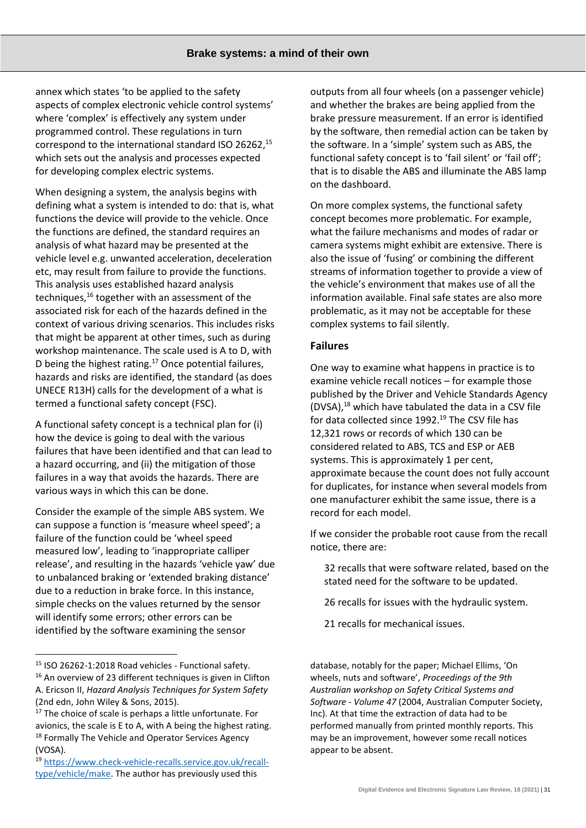annex which states 'to be applied to the safety aspects of complex electronic vehicle control systems' where 'complex' is effectively any system under programmed control. These regulations in turn correspond to the international standard ISO 26262,<sup>15</sup> which sets out the analysis and processes expected for developing complex electric systems.

When designing a system, the analysis begins with defining what a system is intended to do: that is, what functions the device will provide to the vehicle. Once the functions are defined, the standard requires an analysis of what hazard may be presented at the vehicle level e.g. unwanted acceleration, deceleration etc, may result from failure to provide the functions. This analysis uses established hazard analysis techniques,<sup>16</sup> together with an assessment of the associated risk for each of the hazards defined in the context of various driving scenarios. This includes risks that might be apparent at other times, such as during workshop maintenance. The scale used is A to D, with D being the highest rating.<sup>17</sup> Once potential failures, hazards and risks are identified, the standard (as does UNECE R13H) calls for the development of a what is termed a functional safety concept (FSC).

A functional safety concept is a technical plan for (i) how the device is going to deal with the various failures that have been identified and that can lead to a hazard occurring, and (ii) the mitigation of those failures in a way that avoids the hazards. There are various ways in which this can be done.

Consider the example of the simple ABS system. We can suppose a function is 'measure wheel speed'; a failure of the function could be 'wheel speed measured low', leading to 'inappropriate calliper release', and resulting in the hazards 'vehicle yaw' due to unbalanced braking or 'extended braking distance' due to a reduction in brake force. In this instance, simple checks on the values returned by the sensor will identify some errors; other errors can be identified by the software examining the sensor

outputs from all four wheels (on a passenger vehicle) and whether the brakes are being applied from the brake pressure measurement. If an error is identified by the software, then remedial action can be taken by the software. In a 'simple' system such as ABS, the functional safety concept is to 'fail silent' or 'fail off'; that is to disable the ABS and illuminate the ABS lamp on the dashboard.

On more complex systems, the functional safety concept becomes more problematic. For example, what the failure mechanisms and modes of radar or camera systems might exhibit are extensive. There is also the issue of 'fusing' or combining the different streams of information together to provide a view of the vehicle's environment that makes use of all the information available. Final safe states are also more problematic, as it may not be acceptable for these complex systems to fail silently.

#### **Failures**

One way to examine what happens in practice is to examine vehicle recall notices – for example those published by the Driver and Vehicle Standards Agency (DVSA),<sup>18</sup> which have tabulated the data in a CSV file for data collected since 1992.<sup>19</sup> The CSV file has 12,321 rows or records of which 130 can be considered related to ABS, TCS and ESP or AEB systems. This is approximately 1 per cent, approximate because the count does not fully account for duplicates, for instance when several models from one manufacturer exhibit the same issue, there is a record for each model.

If we consider the probable root cause from the recall notice, there are:

- 32 recalls that were software related, based on the stated need for the software to be updated.
- 26 recalls for issues with the hydraulic system.
- 21 recalls for mechanical issues.

database, notably for the paper; Michael Ellims, 'On wheels, nuts and software', *Proceedings of the 9th Australian workshop on Safety Critical Systems and Software - Volume 47* (2004, Australian Computer Society, Inc). At that time the extraction of data had to be performed manually from printed monthly reports. This may be an improvement, however some recall notices appear to be absent.

<sup>15</sup> ISO 26262-1:2018 Road vehicles - Functional safety.

<sup>&</sup>lt;sup>16</sup> An overview of 23 different techniques is given in Clifton A. Ericson II, *Hazard Analysis Techniques for System Safety* (2nd edn, John Wiley & Sons, 2015).

<sup>&</sup>lt;sup>17</sup> The choice of scale is perhaps a little unfortunate. For avionics, the scale is E to A, with A being the highest rating. <sup>18</sup> Formally The Vehicle and Operator Services Agency (VOSA).

<sup>19</sup> [https://www.check-vehicle-recalls.service.gov.uk/recall](https://www.check-vehicle-recalls.service.gov.uk/recall-type/vehicle/make)[type/vehicle/make.](https://www.check-vehicle-recalls.service.gov.uk/recall-type/vehicle/make) The author has previously used this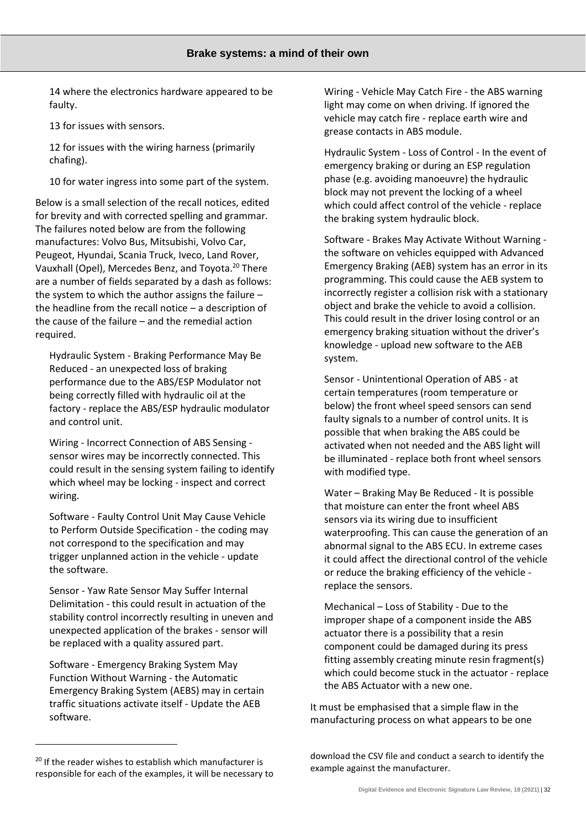14 where the electronics hardware appeared to be faulty.

13 for issues with sensors.

12 for issues with the wiring harness (primarily chafing).

10 for water ingress into some part of the system.

Below is a small selection of the recall notices, edited for brevity and with corrected spelling and grammar. The failures noted below are from the following manufactures: Volvo Bus, Mitsubishi, Volvo Car, Peugeot, Hyundai, Scania Truck, Iveco, Land Rover, Vauxhall (Opel), Mercedes Benz, and Toyota.<sup>20</sup> There are a number of fields separated by a dash as follows: the system to which the author assigns the failure – the headline from the recall notice – a description of the cause of the failure – and the remedial action required.

Hydraulic System - Braking Performance May Be Reduced - an unexpected loss of braking performance due to the ABS/ESP Modulator not being correctly filled with hydraulic oil at the factory - replace the ABS/ESP hydraulic modulator and control unit.

Wiring - Incorrect Connection of ABS Sensing sensor wires may be incorrectly connected. This could result in the sensing system failing to identify which wheel may be locking - inspect and correct wiring.

Software - Faulty Control Unit May Cause Vehicle to Perform Outside Specification - the coding may not correspond to the specification and may trigger unplanned action in the vehicle - update the software.

Sensor - Yaw Rate Sensor May Suffer Internal Delimitation - this could result in actuation of the stability control incorrectly resulting in uneven and unexpected application of the brakes - sensor will be replaced with a quality assured part.

Software - Emergency Braking System May Function Without Warning - the Automatic Emergency Braking System (AEBS) may in certain traffic situations activate itself - Update the AEB software.

Wiring - Vehicle May Catch Fire - the ABS warning light may come on when driving. If ignored the vehicle may catch fire - replace earth wire and grease contacts in ABS module.

Hydraulic System - Loss of Control - In the event of emergency braking or during an ESP regulation phase (e.g. avoiding manoeuvre) the hydraulic block may not prevent the locking of a wheel which could affect control of the vehicle - replace the braking system hydraulic block.

Software - Brakes May Activate Without Warning the software on vehicles equipped with Advanced Emergency Braking (AEB) system has an error in its programming. This could cause the AEB system to incorrectly register a collision risk with a stationary object and brake the vehicle to avoid a collision. This could result in the driver losing control or an emergency braking situation without the driver's knowledge - upload new software to the AEB system.

Sensor - Unintentional Operation of ABS - at certain temperatures (room temperature or below) the front wheel speed sensors can send faulty signals to a number of control units. It is possible that when braking the ABS could be activated when not needed and the ABS light will be illuminated - replace both front wheel sensors with modified type.

Water – Braking May Be Reduced - It is possible that moisture can enter the front wheel ABS sensors via its wiring due to insufficient waterproofing. This can cause the generation of an abnormal signal to the ABS ECU. In extreme cases it could affect the directional control of the vehicle or reduce the braking efficiency of the vehicle replace the sensors.

Mechanical – Loss of Stability - Due to the improper shape of a component inside the ABS actuator there is a possibility that a resin component could be damaged during its press fitting assembly creating minute resin fragment(s) which could become stuck in the actuator - replace the ABS Actuator with a new one.

It must be emphasised that a simple flaw in the manufacturing process on what appears to be one

download the CSV file and conduct a search to identify the example against the manufacturer.

 $20$  If the reader wishes to establish which manufacturer is responsible for each of the examples, it will be necessary to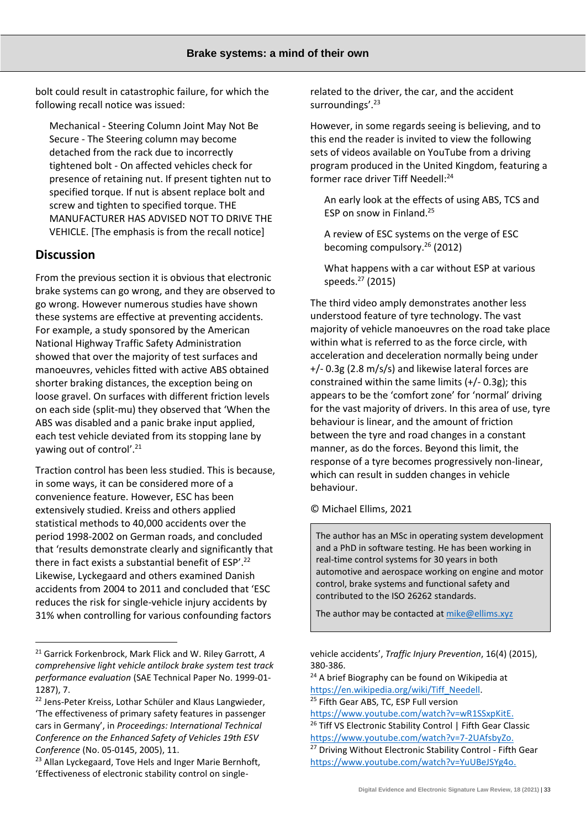bolt could result in catastrophic failure, for which the following recall notice was issued:

Mechanical - Steering Column Joint May Not Be Secure - The Steering column may become detached from the rack due to incorrectly tightened bolt - On affected vehicles check for presence of retaining nut. If present tighten nut to specified torque. If nut is absent replace bolt and screw and tighten to specified torque. THE MANUFACTURER HAS ADVISED NOT TO DRIVE THE VEHICLE. [The emphasis is from the recall notice]

## **Discussion**

From the previous section it is obvious that electronic brake systems can go wrong, and they are observed to go wrong. However numerous studies have shown these systems are effective at preventing accidents. For example, a study sponsored by the American National Highway Traffic Safety Administration showed that over the majority of test surfaces and manoeuvres, vehicles fitted with active ABS obtained shorter braking distances, the exception being on loose gravel. On surfaces with different friction levels on each side (split-mu) they observed that 'When the ABS was disabled and a panic brake input applied, each test vehicle deviated from its stopping lane by yawing out of control'.<sup>21</sup>

Traction control has been less studied. This is because, in some ways, it can be considered more of a convenience feature. However, ESC has been extensively studied. Kreiss and others applied statistical methods to 40,000 accidents over the period 1998-2002 on German roads, and concluded that 'results demonstrate clearly and significantly that there in fact exists a substantial benefit of ESP'.<sup>22</sup> Likewise, Lyckegaard and others examined Danish accidents from 2004 to 2011 and concluded that 'ESC reduces the risk for single-vehicle injury accidents by 31% when controlling for various confounding factors

related to the driver, the car, and the accident surroundings'.<sup>23</sup>

However, in some regards seeing is believing, and to this end the reader is invited to view the following sets of videos available on YouTube from a driving program produced in the United Kingdom, featuring a former race driver Tiff Needell:<sup>24</sup>

An early look at the effects of using ABS, TCS and ESP on snow in Finland.<sup>25</sup>

A review of ESC systems on the verge of ESC becoming compulsory.<sup>26</sup> (2012)

What happens with a car without ESP at various speeds. $27$  (2015)

The third video amply demonstrates another less understood feature of tyre technology. The vast majority of vehicle manoeuvres on the road take place within what is referred to as the force circle, with acceleration and deceleration normally being under +/- 0.3g (2.8 m/s/s) and likewise lateral forces are constrained within the same limits (+/- 0.3g); this appears to be the 'comfort zone' for 'normal' driving for the vast majority of drivers. In this area of use, tyre behaviour is linear, and the amount of friction between the tyre and road changes in a constant manner, as do the forces. Beyond this limit, the response of a tyre becomes progressively non-linear, which can result in sudden changes in vehicle behaviour.

#### © Michael Ellims, 2021

The author has an MSc in operating system development and a PhD in software testing. He has been working in real-time control systems for 30 years in both automotive and aerospace working on engine and motor control, brake systems and functional safety and contributed to the ISO 26262 standards.

The author may be contacted a[t mike@ellims.xyz](mailto:mike@ellims.xyz)

<sup>21</sup> Garrick Forkenbrock, Mark Flick and W. Riley Garrott, *A comprehensive light vehicle antilock brake system test track performance evaluation* (SAE Technical Paper No. 1999-01- 1287), 7.

<sup>&</sup>lt;sup>22</sup> Jens-Peter Kreiss, Lothar Schüler and Klaus Langwieder, 'The effectiveness of primary safety features in passenger cars in Germany', in *Proceedings: International Technical Conference on the Enhanced Safety of Vehicles 19th ESV Conference* (No. 05-0145, 2005), 11.

<sup>&</sup>lt;sup>23</sup> Allan Lyckegaard, Tove Hels and Inger Marie Bernhoft, 'Effectiveness of electronic stability control on single-

vehicle accidents', *Traffic Injury Prevention*, 16(4) (2015), 380-386.

<sup>&</sup>lt;sup>24</sup> A brief Biography can be found on Wikipedia at [https://en.wikipedia.org/wiki/Tiff\\_Needell.](https://en.wikipedia.org/wiki/Tiff_Needell) <sup>25</sup> Fifth Gear ABS, TC, ESP Full version

[https://www.youtube.com/watch?v=wR1SSxpKitE.](https://www.youtube.com/watch?v=wR1SSxpKitE) <sup>26</sup> Tiff VS Electronic Stability Control | Fifth Gear Classic [https://www.youtube.com/watch?v=7-2UAfsbyZo.](https://www.youtube.com/watch?v=7-2UAfsbyZo) <sup>27</sup> Driving Without Electronic Stability Control - Fifth Gear

[https://www.youtube.com/watch?v=YuUBeJSYg4o.](https://www.youtube.com/watch?v=YuUBeJSYg4o)